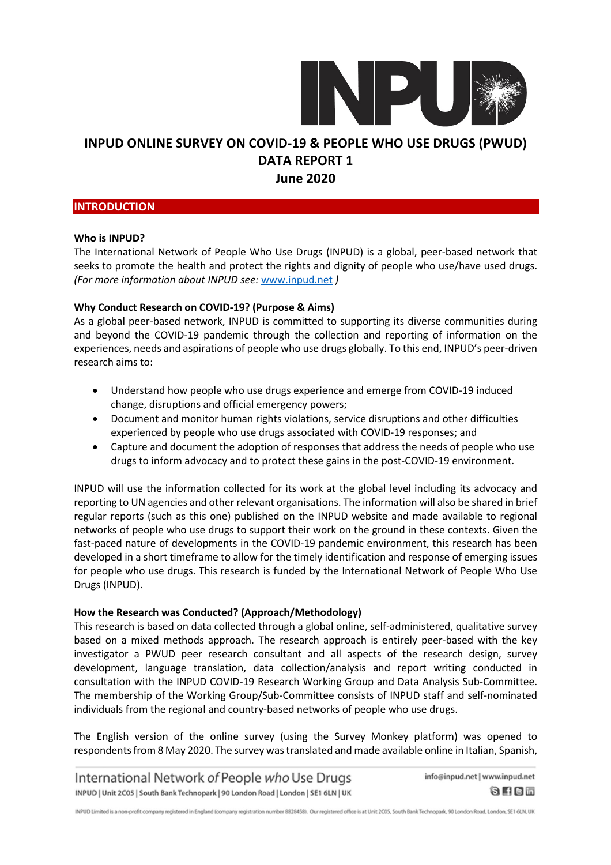

### **INTRODUCTION**

#### **Who is INPUD?**

The International Network of People Who Use Drugs (INPUD) is a global, peer-based network that seeks to promote the health and protect the rights and dignity of people who use/have used drugs. *(For more information about INPUD see:* www.inpud.net *)*

### **Why Conduct Research on COVID-19? (Purpose & Aims)**

As a global peer-based network, INPUD is committed to supporting its diverse communities during and beyond the COVID-19 pandemic through the collection and reporting of information on the experiences, needs and aspirations of people who use drugs globally. To this end, INPUD's peer-driven research aims to:

- Understand how people who use drugs experience and emerge from COVID-19 induced change, disruptions and official emergency powers;
- Document and monitor human rights violations, service disruptions and other difficulties experienced by people who use drugs associated with COVID-19 responses; and
- Capture and document the adoption of responses that address the needs of people who use drugs to inform advocacy and to protect these gains in the post-COVID-19 environment.

INPUD will use the information collected for its work at the global level including its advocacy and reporting to UN agencies and other relevant organisations. The information will also be shared in brief regular reports (such as this one) published on the INPUD website and made available to regional networks of people who use drugs to support their work on the ground in these contexts. Given the fast-paced nature of developments in the COVID-19 pandemic environment, this research has been developed in a short timeframe to allow for the timely identification and response of emerging issues for people who use drugs. This research is funded by the International Network of People Who Use Drugs (INPUD).

### **How the Research was Conducted? (Approach/Methodology)**

This research is based on data collected through a global online, self-administered, qualitative survey based on a mixed methods approach. The research approach is entirely peer-based with the key investigator a PWUD peer research consultant and all aspects of the research design, survey development, language translation, data collection/analysis and report writing conducted in consultation with the INPUD COVID-19 Research Working Group and Data Analysis Sub-Committee. The membership of the Working Group/Sub-Committee consists of INPUD staff and self-nominated individuals from the regional and country-based networks of people who use drugs.

The English version of the online survey (using the Survey Monkey platform) was opened to respondents from 8 May 2020. The survey was translated and made available online in Italian, Spanish,

International Network of People who Use Drugs INPUD | Unit 2C05 | South Bank Technopark | 90 London Road | London | SE1 6LN | UK

info@inpud.net | www.inpud.net  $8$  H C  $-$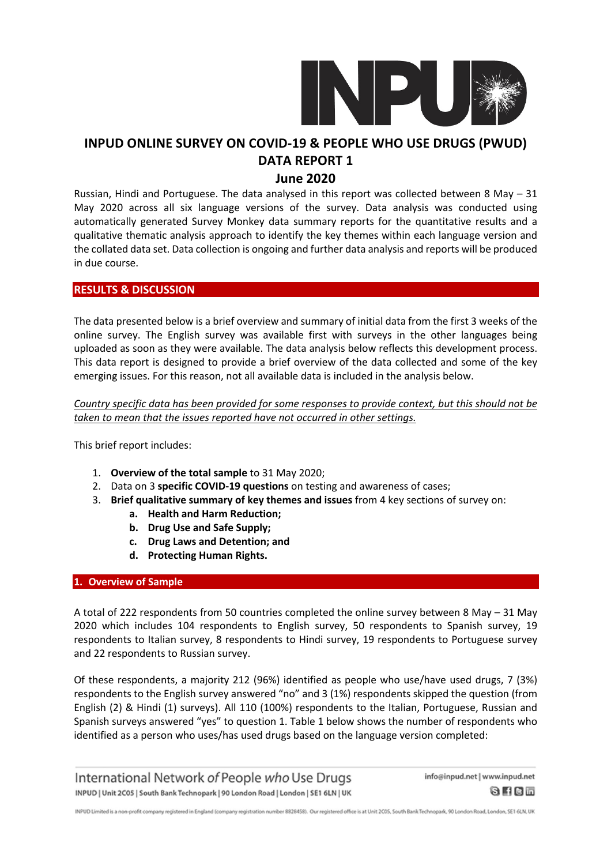

### **June 2020**

Russian, Hindi and Portuguese. The data analysed in this report was collected between 8 May – 31 May 2020 across all six language versions of the survey. Data analysis was conducted using automatically generated Survey Monkey data summary reports for the quantitative results and a qualitative thematic analysis approach to identify the key themes within each language version and the collated data set. Data collection is ongoing and further data analysis and reports will be produced in due course.

### **RESULTS & DISCUSSION**

The data presented below is a brief overview and summary of initial data from the first 3 weeks of the online survey. The English survey was available first with surveys in the other languages being uploaded as soon as they were available. The data analysis below reflects this development process. This data report is designed to provide a brief overview of the data collected and some of the key emerging issues. For this reason, not all available data is included in the analysis below.

*Country specific data has been provided for some responses to provide context, but this should not be taken to mean that the issues reported have not occurred in other settings.*

This brief report includes:

- 1. **Overview of the total sample** to 31 May 2020;
- 2. Data on 3 **specific COVID-19 questions** on testing and awareness of cases;
- 3. **Brief qualitative summary of key themes and issues** from 4 key sections of survey on:
	- **a. Health and Harm Reduction;**
	- **b. Drug Use and Safe Supply;**
	- **c. Drug Laws and Detention; and**
	- **d. Protecting Human Rights.**

### **1. Overview of Sample**

A total of 222 respondents from 50 countries completed the online survey between 8 May – 31 May 2020 which includes 104 respondents to English survey, 50 respondents to Spanish survey, 19 respondents to Italian survey, 8 respondents to Hindi survey, 19 respondents to Portuguese survey and 22 respondents to Russian survey.

Of these respondents, a majority 212 (96%) identified as people who use/have used drugs, 7 (3%) respondents to the English survey answered "no" and 3 (1%) respondents skipped the question (from English (2) & Hindi (1) surveys). All 110 (100%) respondents to the Italian, Portuguese, Russian and Spanish surveys answered "yes" to question 1. Table 1 below shows the number of respondents who identified as a person who uses/has used drugs based on the language version completed:

International Network of People who Use Drugs INPUD | Unit 2C05 | South Bank Technopark | 90 London Road | London | SE1 6LN | UK

info@inpud.net | www.inpud.net  $0$  f  $0$  m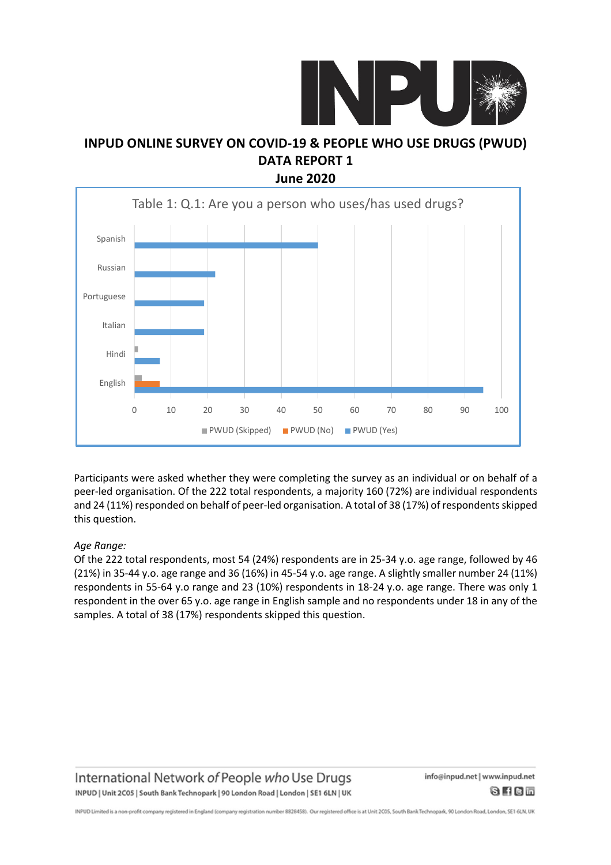



Participants were asked whether they were completing the survey as an individual or on behalf of a peer-led organisation. Of the 222 total respondents, a majority 160 (72%) are individual respondents and 24 (11%) responded on behalf of peer-led organisation. A total of 38 (17%) of respondents skipped this question.

### *Age Range:*

Of the 222 total respondents, most 54 (24%) respondents are in 25-34 y.o. age range, followed by 46 (21%) in 35-44 y.o. age range and 36 (16%) in 45-54 y.o. age range. A slightly smaller number 24 (11%) respondents in 55-64 y.o range and 23 (10%) respondents in 18-24 y.o. age range. There was only 1 respondent in the over 65 y.o. age range in English sample and no respondents under 18 in any of the samples. A total of 38 (17%) respondents skipped this question.

International Network of People who Use Drugs INPUD | Unit 2C05 | South Bank Technopark | 90 London Road | London | SE1 6LN | UK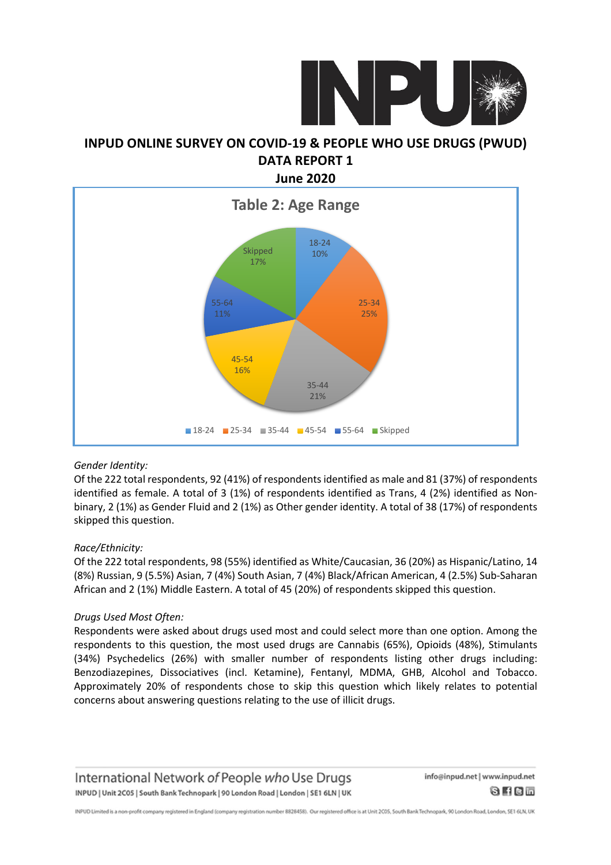



### *Gender Identity:*

Of the 222 total respondents, 92 (41%) of respondentsidentified as male and 81 (37%) of respondents identified as female. A total of 3 (1%) of respondents identified as Trans, 4 (2%) identified as Nonbinary, 2 (1%) as Gender Fluid and 2 (1%) as Other gender identity. A total of 38 (17%) of respondents skipped this question.

### *Race/Ethnicity:*

Of the 222 total respondents, 98 (55%) identified as White/Caucasian, 36 (20%) as Hispanic/Latino, 14 (8%) Russian, 9 (5.5%) Asian, 7 (4%) South Asian, 7 (4%) Black/African American, 4 (2.5%) Sub-Saharan African and 2 (1%) Middle Eastern. A total of 45 (20%) of respondents skipped this question.

### *Drugs Used Most Often:*

Respondents were asked about drugs used most and could select more than one option. Among the respondents to this question, the most used drugs are Cannabis (65%), Opioids (48%), Stimulants (34%) Psychedelics (26%) with smaller number of respondents listing other drugs including: Benzodiazepines, Dissociatives (incl. Ketamine), Fentanyl, MDMA, GHB, Alcohol and Tobacco. Approximately 20% of respondents chose to skip this question which likely relates to potential concerns about answering questions relating to the use of illicit drugs.

International Network of People who Use Drugs INPUD | Unit 2C05 | South Bank Technopark | 90 London Road | London | SE1 6LN | UK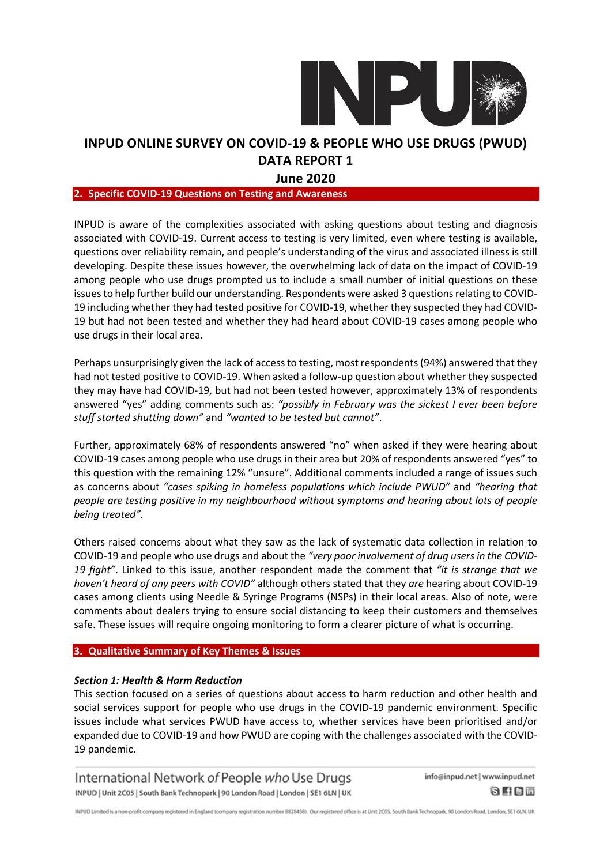

### **June 2020**

#### **2. Specific COVID-19 Questions on Testing and Awareness**

INPUD is aware of the complexities associated with asking questions about testing and diagnosis associated with COVID-19. Current access to testing is very limited, even where testing is available, questions over reliability remain, and people's understanding of the virus and associated illness is still developing. Despite these issues however, the overwhelming lack of data on the impact of COVID-19 among people who use drugs prompted us to include a small number of initial questions on these issues to help further build our understanding. Respondents were asked 3 questions relating to COVID-19 including whether they had tested positive for COVID-19, whether they suspected they had COVID-19 but had not been tested and whether they had heard about COVID-19 cases among people who use drugs in their local area.

Perhaps unsurprisingly given the lack of accessto testing, most respondents(94%) answered that they had not tested positive to COVID-19. When asked a follow-up question about whether they suspected they may have had COVID-19, but had not been tested however, approximately 13% of respondents answered "yes" adding comments such as: *"possibly in February was the sickest I ever been before stuff started shutting down"* and *"wanted to be tested but cannot"*.

Further, approximately 68% of respondents answered "no" when asked if they were hearing about COVID-19 cases among people who use drugs in their area but 20% of respondents answered "yes" to this question with the remaining 12% "unsure". Additional comments included a range of issues such as concerns about *"cases spiking in homeless populations which include PWUD"* and *"hearing that people are testing positive in my neighbourhood without symptoms and hearing about lots of people being treated"*.

Others raised concerns about what they saw as the lack of systematic data collection in relation to COVID-19 and people who use drugs and about the *"very poor involvement of drug usersin the COVID-19 fight"*. Linked to this issue, another respondent made the comment that *"it is strange that we haven't heard of any peers with COVID"* although others stated that they *are* hearing about COVID-19 cases among clients using Needle & Syringe Programs (NSPs) in their local areas. Also of note, were comments about dealers trying to ensure social distancing to keep their customers and themselves safe. These issues will require ongoing monitoring to form a clearer picture of what is occurring.

#### **3. Qualitative Summary of Key Themes & Issues**

### *Section 1: Health & Harm Reduction*

This section focused on a series of questions about access to harm reduction and other health and social services support for people who use drugs in the COVID-19 pandemic environment. Specific issues include what services PWUD have access to, whether services have been prioritised and/or expanded due to COVID-19 and how PWUD are coping with the challenges associated with the COVID-19 pandemic.

International Network of People who Use Drugs INPUD | Unit 2C05 | South Bank Technopark | 90 London Road | London | SE1 6LN | UK

info@inpud.net | www.inpud.net  $8$  H C  $-$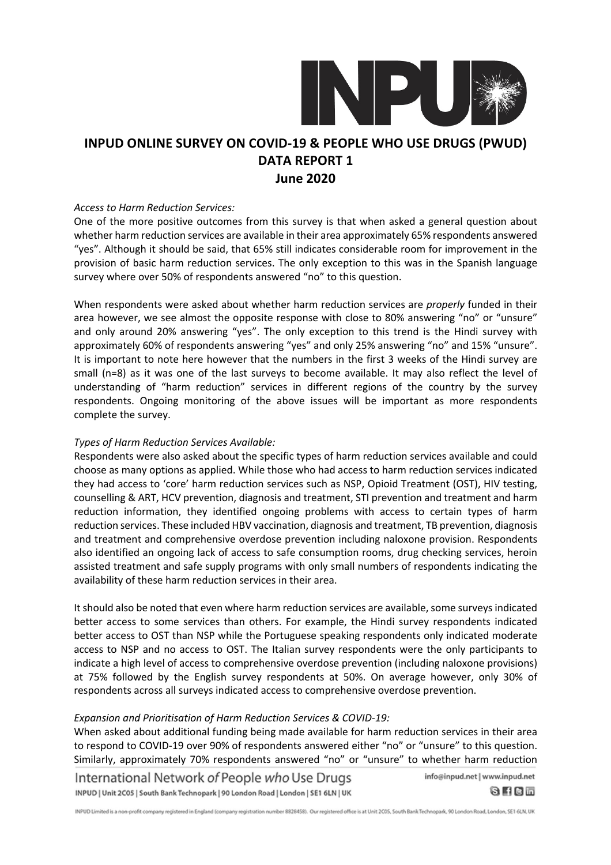

#### *Access to Harm Reduction Services:*

One of the more positive outcomes from this survey is that when asked a general question about whether harm reduction services are available in their area approximately 65% respondents answered "yes". Although it should be said, that 65% still indicates considerable room for improvement in the provision of basic harm reduction services. The only exception to this was in the Spanish language survey where over 50% of respondents answered "no" to this question.

When respondents were asked about whether harm reduction services are *properly* funded in their area however, we see almost the opposite response with close to 80% answering "no" or "unsure" and only around 20% answering "yes". The only exception to this trend is the Hindi survey with approximately 60% of respondents answering "yes" and only 25% answering "no" and 15% "unsure". It is important to note here however that the numbers in the first 3 weeks of the Hindi survey are small (n=8) as it was one of the last surveys to become available. It may also reflect the level of understanding of "harm reduction" services in different regions of the country by the survey respondents. Ongoing monitoring of the above issues will be important as more respondents complete the survey.

### *Types of Harm Reduction Services Available:*

Respondents were also asked about the specific types of harm reduction services available and could choose as many options as applied. While those who had access to harm reduction services indicated they had access to 'core' harm reduction services such as NSP, Opioid Treatment (OST), HIV testing, counselling & ART, HCV prevention, diagnosis and treatment, STI prevention and treatment and harm reduction information, they identified ongoing problems with access to certain types of harm reduction services. These included HBV vaccination, diagnosis and treatment, TB prevention, diagnosis and treatment and comprehensive overdose prevention including naloxone provision. Respondents also identified an ongoing lack of access to safe consumption rooms, drug checking services, heroin assisted treatment and safe supply programs with only small numbers of respondents indicating the availability of these harm reduction services in their area.

It should also be noted that even where harm reduction services are available, some surveys indicated better access to some services than others. For example, the Hindi survey respondents indicated better access to OST than NSP while the Portuguese speaking respondents only indicated moderate access to NSP and no access to OST. The Italian survey respondents were the only participants to indicate a high level of access to comprehensive overdose prevention (including naloxone provisions) at 75% followed by the English survey respondents at 50%. On average however, only 30% of respondents across all surveys indicated access to comprehensive overdose prevention.

#### *Expansion and Prioritisation of Harm Reduction Services & COVID-19:*

When asked about additional funding being made available for harm reduction services in their area to respond to COVID-19 over 90% of respondents answered either "no" or "unsure" to this question. Similarly, approximately 70% respondents answered "no" or "unsure" to whether harm reduction

INPUD Limited is a non-profit company registered in England (company registration number 8828458). Our registered office is at Unit 2C05, South Bank Technopark, 90 London Road, London, SE1 6LN, UK

International Network of People who Use Drugs INPUD | Unit 2C05 | South Bank Technopark | 90 London Road | London | SE1 6LN | UK

info@inpud.net | www.inpud.net  $0$  f  $0$  m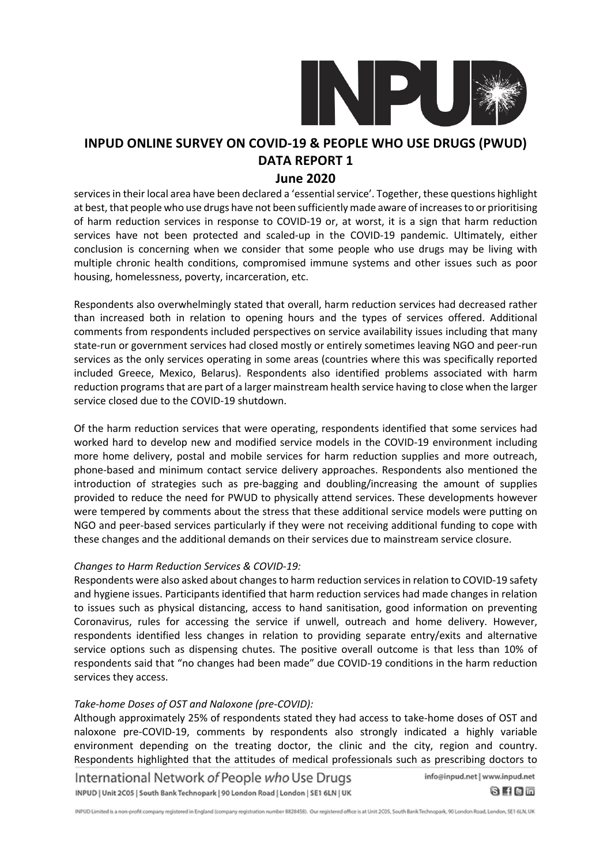

### **June 2020**

services in their local area have been declared a 'essential service'. Together, these questions highlight at best, that people who use drugs have not been sufficiently made aware of increasesto or prioritising of harm reduction services in response to COVID-19 or, at worst, it is a sign that harm reduction services have not been protected and scaled-up in the COVID-19 pandemic. Ultimately, either conclusion is concerning when we consider that some people who use drugs may be living with multiple chronic health conditions, compromised immune systems and other issues such as poor housing, homelessness, poverty, incarceration, etc.

Respondents also overwhelmingly stated that overall, harm reduction services had decreased rather than increased both in relation to opening hours and the types of services offered. Additional comments from respondents included perspectives on service availability issues including that many state-run or government services had closed mostly or entirely sometimes leaving NGO and peer-run services as the only services operating in some areas (countries where this was specifically reported included Greece, Mexico, Belarus). Respondents also identified problems associated with harm reduction programsthat are part of a larger mainstream health service having to close when the larger service closed due to the COVID-19 shutdown.

Of the harm reduction services that were operating, respondents identified that some services had worked hard to develop new and modified service models in the COVID-19 environment including more home delivery, postal and mobile services for harm reduction supplies and more outreach, phone-based and minimum contact service delivery approaches. Respondents also mentioned the introduction of strategies such as pre-bagging and doubling/increasing the amount of supplies provided to reduce the need for PWUD to physically attend services. These developments however were tempered by comments about the stress that these additional service models were putting on NGO and peer-based services particularly if they were not receiving additional funding to cope with these changes and the additional demands on their services due to mainstream service closure.

### *Changes to Harm Reduction Services & COVID-19:*

Respondents were also asked about changesto harm reduction servicesin relation to COVID-19 safety and hygiene issues. Participants identified that harm reduction services had made changes in relation to issues such as physical distancing, access to hand sanitisation, good information on preventing Coronavirus, rules for accessing the service if unwell, outreach and home delivery. However, respondents identified less changes in relation to providing separate entry/exits and alternative service options such as dispensing chutes. The positive overall outcome is that less than 10% of respondents said that "no changes had been made" due COVID-19 conditions in the harm reduction services they access.

### *Take-home Doses of OST and Naloxone (pre-COVID):*

Although approximately 25% of respondents stated they had access to take-home doses of OST and naloxone pre-COVID-19, comments by respondents also strongly indicated a highly variable environment depending on the treating doctor, the clinic and the city, region and country. Respondents highlighted that the attitudes of medical professionals such as prescribing doctors to

International Network of People who Use Drugs INPUD | Unit 2C05 | South Bank Technopark | 90 London Road | London | SE1 6LN | UK

info@inpud.net | www.inpud.net

 $0$  f  $0$  m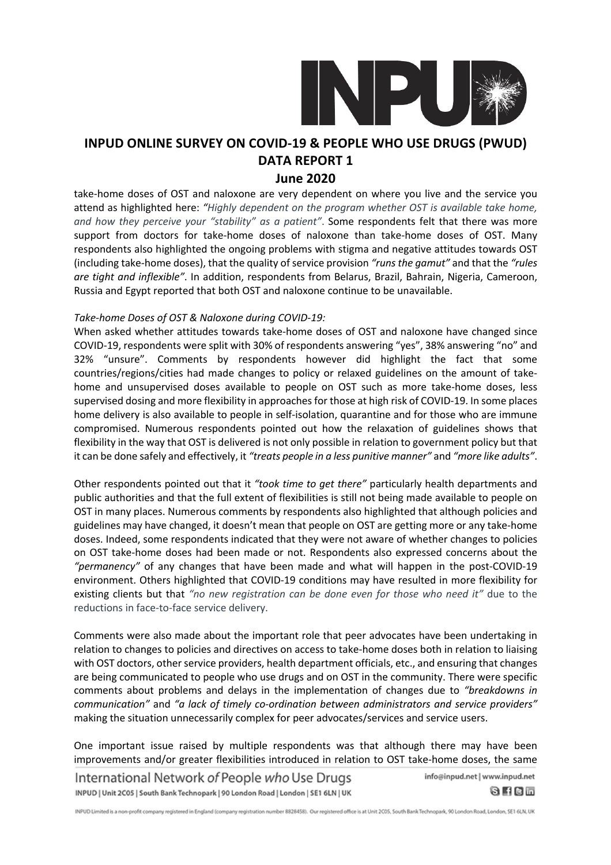

### **June 2020**

take-home doses of OST and naloxone are very dependent on where you live and the service you attend as highlighted here: *"Highly dependent on the program whether OST is available take home, and how they perceive your "stability" as a patient"*. Some respondents felt that there was more support from doctors for take-home doses of naloxone than take-home doses of OST. Many respondents also highlighted the ongoing problems with stigma and negative attitudes towards OST (including take-home doses), that the quality of service provision *"runs the gamut"* and that the *"rules are tight and inflexible"*. In addition, respondents from Belarus, Brazil, Bahrain, Nigeria, Cameroon, Russia and Egypt reported that both OST and naloxone continue to be unavailable.

### *Take-home Doses of OST & Naloxone during COVID-19:*

When asked whether attitudes towards take-home doses of OST and naloxone have changed since COVID-19, respondents were split with 30% of respondents answering "yes", 38% answering "no" and 32% "unsure". Comments by respondents however did highlight the fact that some countries/regions/cities had made changes to policy or relaxed guidelines on the amount of takehome and unsupervised doses available to people on OST such as more take-home doses, less supervised dosing and more flexibility in approaches for those at high risk of COVID-19. In some places home delivery is also available to people in self-isolation, quarantine and for those who are immune compromised. Numerous respondents pointed out how the relaxation of guidelines shows that flexibility in the way that OST is delivered is not only possible in relation to government policy but that it can be done safely and effectively, it *"treats people in a less punitive manner"* and *"more like adults"*.

Other respondents pointed out that it *"took time to get there"* particularly health departments and public authorities and that the full extent of flexibilities is still not being made available to people on OST in many places. Numerous comments by respondents also highlighted that although policies and guidelines may have changed, it doesn't mean that people on OST are getting more or any take-home doses. Indeed, some respondents indicated that they were not aware of whether changes to policies on OST take-home doses had been made or not. Respondents also expressed concerns about the *"permanency"* of any changes that have been made and what will happen in the post-COVID-19 environment. Others highlighted that COVID-19 conditions may have resulted in more flexibility for existing clients but that *"no new registration can be done even for those who need it"* due to the reductions in face-to-face service delivery.

Comments were also made about the important role that peer advocates have been undertaking in relation to changes to policies and directives on access to take-home doses both in relation to liaising with OST doctors, other service providers, health department officials, etc., and ensuring that changes are being communicated to people who use drugs and on OST in the community. There were specific comments about problems and delays in the implementation of changes due to *"breakdowns in communication"* and *"a lack of timely co-ordination between administrators and service providers"* making the situation unnecessarily complex for peer advocates/services and service users.

One important issue raised by multiple respondents was that although there may have been improvements and/or greater flexibilities introduced in relation to OST take-home doses, the same

International Network of People who Use Drugs INPUD | Unit 2C05 | South Bank Technopark | 90 London Road | London | SE1 6LN | UK

info@inpud.net | www.inpud.net  $0$  f  $0$  m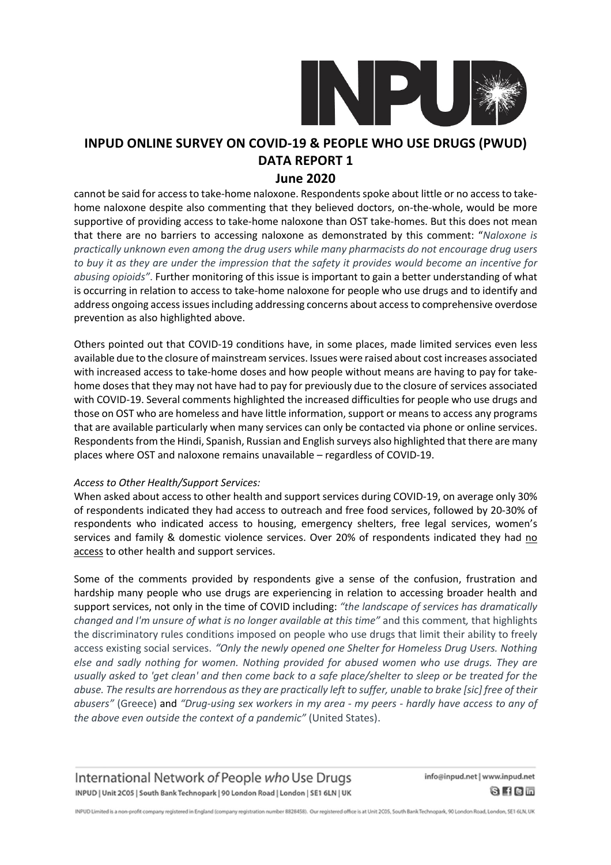

### **June 2020**

cannot be said for access to take-home naloxone. Respondents spoke about little or no access to takehome naloxone despite also commenting that they believed doctors, on-the-whole, would be more supportive of providing access to take-home naloxone than OST take-homes. But this does not mean that there are no barriers to accessing naloxone as demonstrated by this comment: "*Naloxone is practically unknown even among the drug users while many pharmacists do not encourage drug users* to buy it as they are under the impression that the safety it provides would become an incentive for *abusing opioids"*. Further monitoring of this issue is important to gain a better understanding of what is occurring in relation to access to take-home naloxone for people who use drugs and to identify and address ongoing accessissuesincluding addressing concerns about accessto comprehensive overdose prevention as also highlighted above.

Others pointed out that COVID-19 conditions have, in some places, made limited services even less available due to the closure of mainstream services. Issues were raised about cost increases associated with increased access to take-home doses and how people without means are having to pay for takehome doses that they may not have had to pay for previously due to the closure of services associated with COVID-19. Several comments highlighted the increased difficulties for people who use drugs and those on OST who are homeless and have little information, support or means to access any programs that are available particularly when many services can only be contacted via phone or online services. Respondents from the Hindi, Spanish, Russian and English surveys also highlighted that there are many places where OST and naloxone remains unavailable – regardless of COVID-19.

### *Access to Other Health/Support Services:*

When asked about access to other health and support services during COVID-19, on average only 30% of respondents indicated they had access to outreach and free food services, followed by 20-30% of respondents who indicated access to housing, emergency shelters, free legal services, women's services and family & domestic violence services. Over 20% of respondents indicated they had no access to other health and support services.

Some of the comments provided by respondents give a sense of the confusion, frustration and hardship many people who use drugs are experiencing in relation to accessing broader health and support services, not only in the time of COVID including: *"the landscape of services has dramatically changed and I'm unsure of what is no longer available at this time"* and this comment*,* that highlights the discriminatory rules conditions imposed on people who use drugs that limit their ability to freely access existing social services. *"Only the newly opened one Shelter for Homeless Drug Users. Nothing else and sadly nothing for women. Nothing provided for abused women who use drugs. They are* usually asked to 'get clean' and then come back to a safe place/shelter to sleep or be treated for the abuse. The results are horrendous as they are practically left to suffer, unable to brake [sic] free of their *abusers"* (Greece) and *"Drug-using sex workers in my area - my peers - hardly have access to any of the above even outside the context of a pandemic"* (United States).

International Network of People who Use Drugs INPUD | Unit 2C05 | South Bank Technopark | 90 London Road | London | SE1 6LN | UK info@inpud.net | www.inpud.net  $0$  f  $0$  m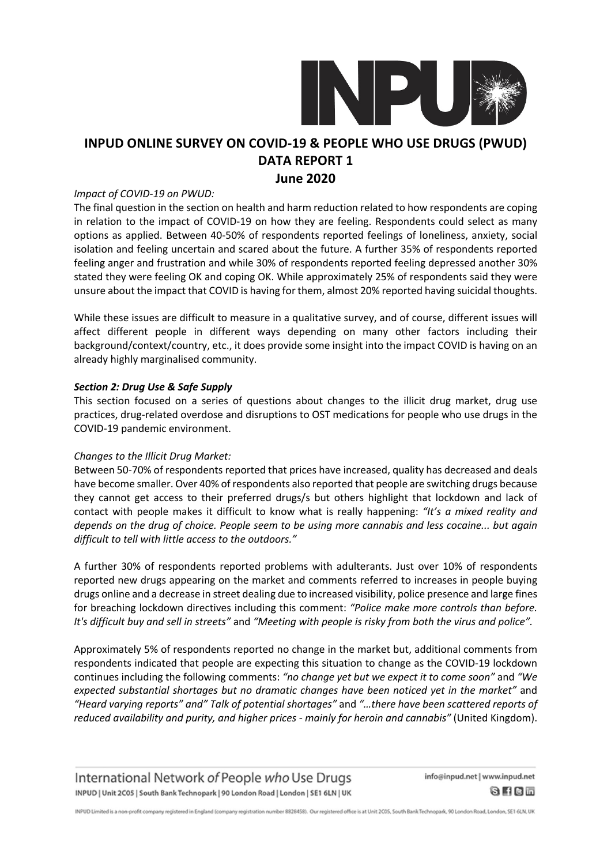

### **June 2020**

#### *Impact of COVID-19 on PWUD:*

The final question in the section on health and harm reduction related to how respondents are coping in relation to the impact of COVID-19 on how they are feeling. Respondents could select as many options as applied. Between 40-50% of respondents reported feelings of loneliness, anxiety, social isolation and feeling uncertain and scared about the future. A further 35% of respondents reported feeling anger and frustration and while 30% of respondents reported feeling depressed another 30% stated they were feeling OK and coping OK. While approximately 25% of respondents said they were unsure about the impact that COVID is having for them, almost 20% reported having suicidal thoughts.

While these issues are difficult to measure in a qualitative survey, and of course, different issues will affect different people in different ways depending on many other factors including their background/context/country, etc., it does provide some insight into the impact COVID is having on an already highly marginalised community.

### *Section 2: Drug Use & Safe Supply*

This section focused on a series of questions about changes to the illicit drug market, drug use practices, drug-related overdose and disruptions to OST medications for people who use drugs in the COVID-19 pandemic environment.

#### *Changes to the Illicit Drug Market:*

Between 50-70% of respondents reported that prices have increased, quality has decreased and deals have become smaller. Over 40% of respondents also reported that people are switching drugs because they cannot get access to their preferred drugs/s but others highlight that lockdown and lack of contact with people makes it difficult to know what is really happening: *"It's a mixed reality and depends on the drug of choice. People seem to be using more cannabis and less cocaine... but again difficult to tell with little access to the outdoors."*

A further 30% of respondents reported problems with adulterants. Just over 10% of respondents reported new drugs appearing on the market and comments referred to increases in people buying drugs online and a decrease in street dealing due to increased visibility, police presence and large fines for breaching lockdown directives including this comment: *"Police make more controls than before.* It's difficult buy and sell in streets" and "Meeting with people is risky from both the virus and police".

Approximately 5% of respondents reported no change in the market but, additional comments from respondents indicated that people are expecting this situation to change as the COVID-19 lockdown continues including the following comments: *"no change yet but we expect it to come soon"* and *"We expected substantial shortages but no dramatic changes have been noticed yet in the market"* and *"Heard varying reports" and" Talk of potential shortages"* and *"…there have been scattered reports of reduced availability and purity, and higher prices - mainly for heroin and cannabis"* (United Kingdom).

International Network of People who Use Drugs INPUD | Unit 2C05 | South Bank Technopark | 90 London Road | London | SE1 6LN | UK

info@inpud.net | www.inpud.net  $8$  H C  $-$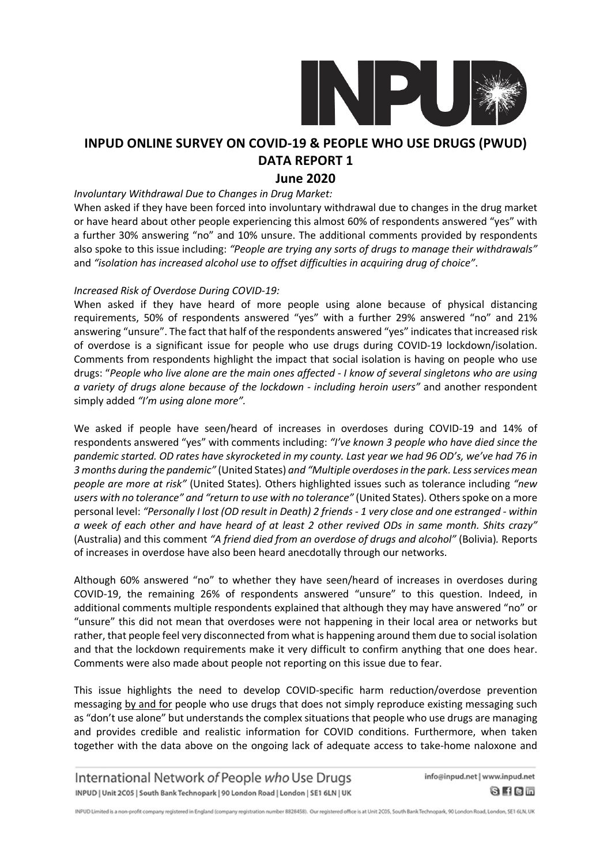

## **June 2020**

#### *Involuntary Withdrawal Due to Changes in Drug Market:*

When asked if they have been forced into involuntary withdrawal due to changes in the drug market or have heard about other people experiencing this almost 60% of respondents answered "yes" with a further 30% answering "no" and 10% unsure. The additional comments provided by respondents also spoke to this issue including: *"People are trying any sorts of drugs to manage their withdrawals"* and *"isolation has increased alcohol use to offset difficulties in acquiring drug of choice"*.

#### *Increased Risk of Overdose During COVID-19:*

When asked if they have heard of more people using alone because of physical distancing requirements, 50% of respondents answered "yes" with a further 29% answered "no" and 21% answering "unsure". The fact that half of the respondents answered "yes" indicatesthat increased risk of overdose is a significant issue for people who use drugs during COVID-19 lockdown/isolation. Comments from respondents highlight the impact that social isolation is having on people who use drugs: "People who live alone are the main ones affected - I know of several singletons who are using *a variety of drugs alone because of the lockdown - including heroin users"* and another respondent simply added *"I'm using alone more".*

We asked if people have seen/heard of increases in overdoses during COVID-19 and 14% of respondents answered "yes" with comments including: *"I've known 3 people who have died since the* pandemic started. OD rates have skyrocketed in my county. Last year we had 96 OD's, we've had 76 in *3 months during the pandemic"* (United States) *and "Multiple overdosesin the park. Lessservices mean people are more at risk"* (United States)*.* Others highlighted issues such as tolerance including *"new users with no tolerance" and "return to use with no tolerance"* (United States)*.* Othersspoke on a more personal level: "Personally I lost (OD result in Death) 2 friends - 1 very close and one estranged - within a week of each other and have heard of at least 2 other revived ODs in same month. Shits crazy" (Australia) and this comment *"A friend died from an overdose of drugs and alcohol"* (Bolivia)*.* Reports of increases in overdose have also been heard anecdotally through our networks.

Although 60% answered "no" to whether they have seen/heard of increases in overdoses during COVID-19, the remaining 26% of respondents answered "unsure" to this question. Indeed, in additional comments multiple respondents explained that although they may have answered "no" or "unsure" this did not mean that overdoses were not happening in their local area or networks but rather, that people feel very disconnected from what is happening around them due to social isolation and that the lockdown requirements make it very difficult to confirm anything that one does hear. Comments were also made about people not reporting on this issue due to fear.

This issue highlights the need to develop COVID-specific harm reduction/overdose prevention messaging by and for people who use drugs that does not simply reproduce existing messaging such as "don't use alone" but understands the complex situations that people who use drugs are managing and provides credible and realistic information for COVID conditions. Furthermore, when taken together with the data above on the ongoing lack of adequate access to take-home naloxone and

International Network of People who Use Drugs INPUD | Unit 2C05 | South Bank Technopark | 90 London Road | London | SE1 6LN | UK

info@inpud.net | www.inpud.net  $8$  H C  $-$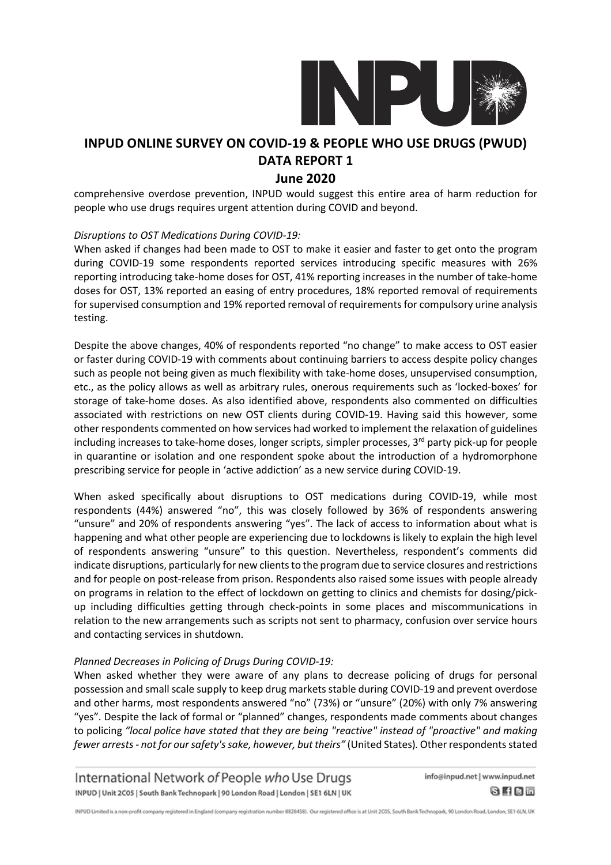

### **June 2020**

comprehensive overdose prevention, INPUD would suggest this entire area of harm reduction for people who use drugs requires urgent attention during COVID and beyond.

### *Disruptions to OST Medications During COVID-19:*

When asked if changes had been made to OST to make it easier and faster to get onto the program during COVID-19 some respondents reported services introducing specific measures with 26% reporting introducing take-home doses for OST, 41% reporting increases in the number of take-home doses for OST, 13% reported an easing of entry procedures, 18% reported removal of requirements for supervised consumption and 19% reported removal of requirements for compulsory urine analysis testing.

Despite the above changes, 40% of respondents reported "no change" to make access to OST easier or faster during COVID-19 with comments about continuing barriers to access despite policy changes such as people not being given as much flexibility with take-home doses, unsupervised consumption, etc., as the policy allows as well as arbitrary rules, onerous requirements such as 'locked-boxes' for storage of take-home doses. As also identified above, respondents also commented on difficulties associated with restrictions on new OST clients during COVID-19. Having said this however, some other respondents commented on how services had worked to implement the relaxation of guidelines including increases to take-home doses, longer scripts, simpler processes,  $3<sup>rd</sup>$  party pick-up for people in quarantine or isolation and one respondent spoke about the introduction of a hydromorphone prescribing service for people in 'active addiction' as a new service during COVID-19.

When asked specifically about disruptions to OST medications during COVID-19, while most respondents (44%) answered "no", this was closely followed by 36% of respondents answering "unsure" and 20% of respondents answering "yes". The lack of access to information about what is happening and what other people are experiencing due to lockdowns is likely to explain the high level of respondents answering "unsure" to this question. Nevertheless, respondent's comments did indicate disruptions, particularly for new clients to the program due to service closures and restrictions and for people on post-release from prison. Respondents also raised some issues with people already on programs in relation to the effect of lockdown on getting to clinics and chemists for dosing/pickup including difficulties getting through check-points in some places and miscommunications in relation to the new arrangements such as scripts not sent to pharmacy, confusion over service hours and contacting services in shutdown.

### *Planned Decreases in Policing of Drugs During COVID-19:*

When asked whether they were aware of any plans to decrease policing of drugs for personal possession and small scale supply to keep drug markets stable during COVID-19 and prevent overdose and other harms, most respondents answered "no" (73%) or "unsure" (20%) with only 7% answering "yes". Despite the lack of formal or "planned" changes, respondents made comments about changes to policing *"local police have stated that they are being "reactive" instead of "proactive" and making fewer arrests- not for oursafety'ssake, however, but theirs"* (United States)*.*Otherrespondentsstated

International Network of People who Use Drugs INPUD | Unit 2C05 | South Bank Technopark | 90 London Road | London | SE1 6LN | UK

info@inpud.net | www.inpud.net  $0$  f  $0$  m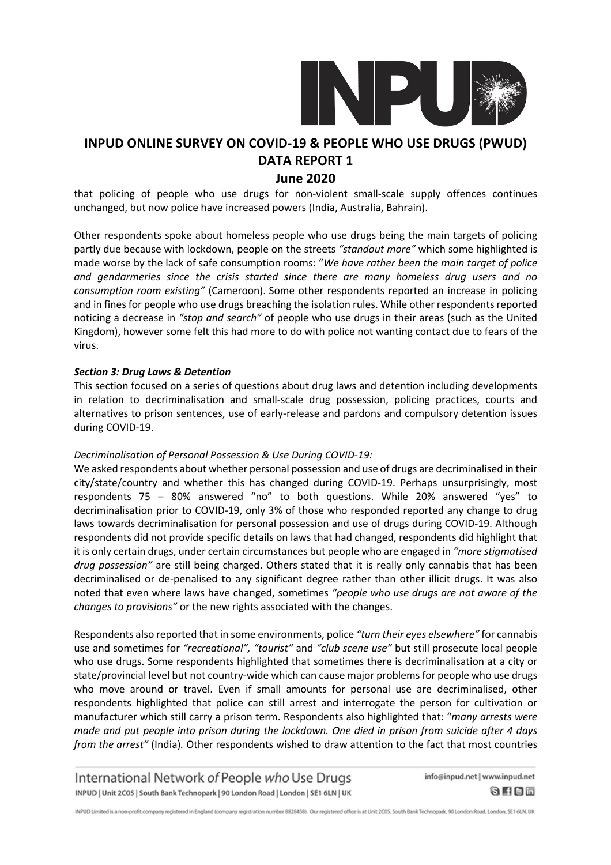

### **June 2020**

that policing of people who use drugs for non-violent small-scale supply offences continues unchanged, but now police have increased powers (India, Australia, Bahrain).

Other respondents spoke about homeless people who use drugs being the main targets of policing partly due because with lockdown, people on the streets *"standout more"* which some highlighted is made worse by the lack of safe consumption rooms: "*We have rather been the main target of police and gendarmeries since the crisis started since there are many homeless drug users and no consumption room existing"* (Cameroon). Some other respondents reported an increase in policing and in fines for people who use drugs breaching the isolation rules. While other respondents reported noticing a decrease in *"stop and search"* of people who use drugs in their areas (such as the United Kingdom), however some felt this had more to do with police not wanting contact due to fears of the virus.

### *Section 3: Drug Laws & Detention*

This section focused on a series of questions about drug laws and detention including developments in relation to decriminalisation and small-scale drug possession, policing practices, courts and alternatives to prison sentences, use of early-release and pardons and compulsory detention issues during COVID-19.

### *Decriminalisation of Personal Possession & Use During COVID-19:*

We asked respondents about whether personal possession and use of drugs are decriminalised in their city/state/country and whether this has changed during COVID-19. Perhaps unsurprisingly, most respondents 75 – 80% answered "no" to both questions. While 20% answered "yes" to decriminalisation prior to COVID-19, only 3% of those who responded reported any change to drug laws towards decriminalisation for personal possession and use of drugs during COVID-19. Although respondents did not provide specific details on laws that had changed, respondents did highlight that it is only certain drugs, under certain circumstances but people who are engaged in *"more stigmatised drug possession"* are still being charged. Others stated that it is really only cannabis that has been decriminalised or de-penalised to any significant degree rather than other illicit drugs. It was also noted that even where laws have changed, sometimes *"people who use drugs are not aware of the changes to provisions"* or the new rights associated with the changes.

Respondents also reported that in some environments, police *"turn their eyes elsewhere"* for cannabis use and sometimes for *"recreational", "tourist"* and *"club scene use"* but still prosecute local people who use drugs. Some respondents highlighted that sometimes there is decriminalisation at a city or state/provincial level but not country-wide which can cause major problems for people who use drugs who move around or travel. Even if small amounts for personal use are decriminalised, other respondents highlighted that police can still arrest and interrogate the person for cultivation or manufacturer which still carry a prison term. Respondents also highlighted that: "*many arrests were made and put people into prison during the lockdown. One died in prison from suicide after 4 days from the arrest"* (India)*.* Other respondents wished to draw attention to the fact that most countries

International Network of People who Use Drugs INPUD | Unit 2C05 | South Bank Technopark | 90 London Road | London | SE1 6LN | UK

info@inpud.net | www.inpud.net  $0$  f  $0$  m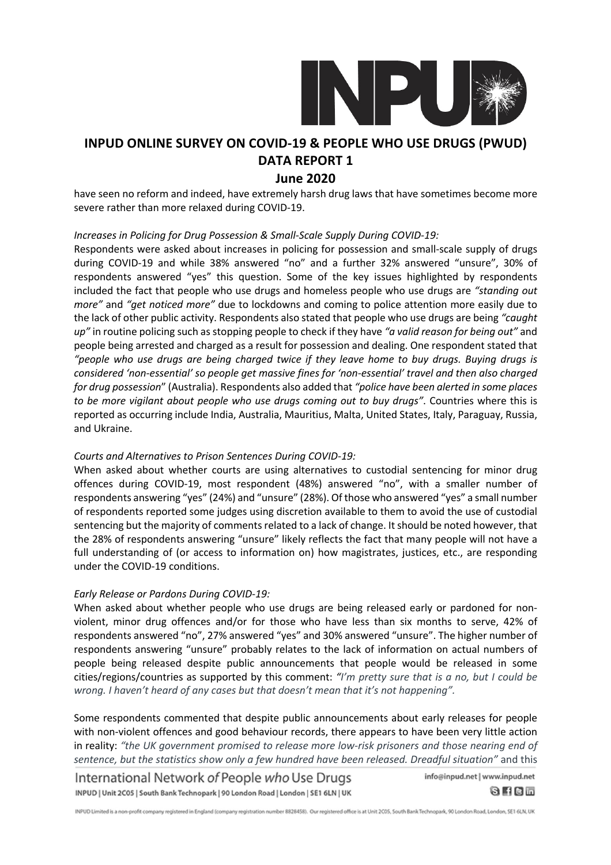

### **June 2020**

have seen no reform and indeed, have extremely harsh drug laws that have sometimes become more severe rather than more relaxed during COVID-19.

### *Increases in Policing for Drug Possession & Small-Scale Supply During COVID-19:*

Respondents were asked about increases in policing for possession and small-scale supply of drugs during COVID-19 and while 38% answered "no" and a further 32% answered "unsure", 30% of respondents answered "yes" this question. Some of the key issues highlighted by respondents included the fact that people who use drugs and homeless people who use drugs are *"standing out more"* and *"get noticed more"* due to lockdowns and coming to police attention more easily due to the lack of other public activity. Respondents also stated that people who use drugs are being *"caught up"* in routine policing such as stopping people to check if they have *"a valid reason for being out"* and people being arrested and charged as a result for possession and dealing. One respondent stated that *"people who use drugs are being charged twice if they leave home to buy drugs. Buying drugs is considered 'non-essential' so people get massive fines for 'non-essential' travel and then also charged for drug possession*" (Australia). Respondents also added that *"police have been alerted in some places to be more vigilant about people who use drugs coming out to buy drugs"*. Countries where this is reported as occurring include India, Australia, Mauritius, Malta, United States, Italy, Paraguay, Russia, and Ukraine.

### *Courts and Alternatives to Prison Sentences During COVID-19:*

When asked about whether courts are using alternatives to custodial sentencing for minor drug offences during COVID-19, most respondent (48%) answered "no", with a smaller number of respondents answering "yes" (24%) and "unsure" (28%). Of those who answered "yes" a small number of respondents reported some judges using discretion available to them to avoid the use of custodial sentencing but the majority of comments related to a lack of change. It should be noted however, that the 28% of respondents answering "unsure" likely reflects the fact that many people will not have a full understanding of (or access to information on) how magistrates, justices, etc., are responding under the COVID-19 conditions.

### *Early Release or Pardons During COVID-19:*

When asked about whether people who use drugs are being released early or pardoned for nonviolent, minor drug offences and/or for those who have less than six months to serve, 42% of respondents answered "no", 27% answered "yes" and 30% answered "unsure". The higher number of respondents answering "unsure" probably relates to the lack of information on actual numbers of people being released despite public announcements that people would be released in some cities/regions/countries as supported by this comment: *"I'm pretty sure that is a no, but I could be wrong. I haven't heard of any cases but that doesn't mean that it's not happening".*

Some respondents commented that despite public announcements about early releases for people with non-violent offences and good behaviour records, there appears to have been very little action in reality: *"the UK government promised to release more low-risk prisoners and those nearing end of sentence, but the statistics show only a few hundred have been released. Dreadful situation"* and this

International Network of People who Use Drugs INPUD | Unit 2C05 | South Bank Technopark | 90 London Road | London | SE1 6LN | UK

info@inpud.net | www.inpud.net  $0$  f  $0$  m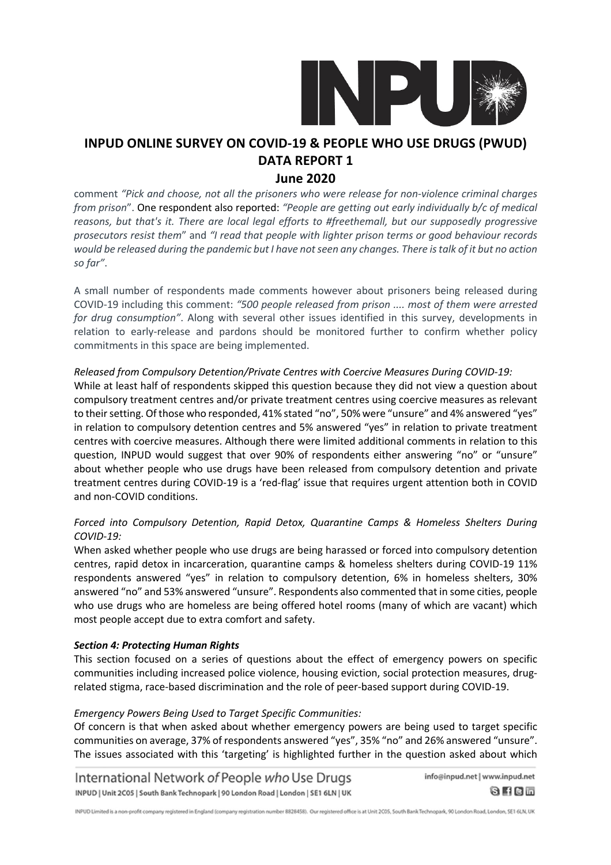

### **June 2020**

comment *"Pick and choose, not all the prisoners who were release for non-violence criminal charges from prison*". One respondent also reported: *"People are getting out early individually b/c of medical reasons, but that's it. There are local legal efforts to #freethemall, but our supposedly progressive prosecutors resist them*" and *"I read that people with lighter prison terms or good behaviour records* would be released during the pandemic but I have not seen any changes. There is talk of it but no action *so far"*.

A small number of respondents made comments however about prisoners being released during COVID-19 including this comment: *"500 people released from prison .... most of them were arrested for drug consumption"*. Along with several other issues identified in this survey, developments in relation to early-release and pardons should be monitored further to confirm whether policy commitments in this space are being implemented.

### *Released from Compulsory Detention/Private Centres with Coercive Measures During COVID-19:*

While at least half of respondents skipped this question because they did not view a question about compulsory treatment centres and/or private treatment centres using coercive measures as relevant to their setting. Of those who responded, 41% stated "no", 50% were "unsure" and 4% answered "yes" in relation to compulsory detention centres and 5% answered "yes" in relation to private treatment centres with coercive measures. Although there were limited additional comments in relation to this question, INPUD would suggest that over 90% of respondents either answering "no" or "unsure" about whether people who use drugs have been released from compulsory detention and private treatment centres during COVID-19 is a 'red-flag' issue that requires urgent attention both in COVID and non-COVID conditions.

### *Forced into Compulsory Detention, Rapid Detox, Quarantine Camps & Homeless Shelters During COVID-19:*

When asked whether people who use drugs are being harassed or forced into compulsory detention centres, rapid detox in incarceration, quarantine camps & homeless shelters during COVID-19 11% respondents answered "yes" in relation to compulsory detention, 6% in homeless shelters, 30% answered "no" and 53% answered "unsure". Respondents also commented that in some cities, people who use drugs who are homeless are being offered hotel rooms (many of which are vacant) which most people accept due to extra comfort and safety.

### *Section 4: Protecting Human Rights*

This section focused on a series of questions about the effect of emergency powers on specific communities including increased police violence, housing eviction, social protection measures, drugrelated stigma, race-based discrimination and the role of peer-based support during COVID-19.

### *Emergency Powers Being Used to Target Specific Communities:*

Of concern is that when asked about whether emergency powers are being used to target specific communities on average, 37% of respondents answered "yes", 35% "no" and 26% answered "unsure". The issues associated with this 'targeting' is highlighted further in the question asked about which

International Network of People who Use Drugs INPUD | Unit 2C05 | South Bank Technopark | 90 London Road | London | SE1 6LN | UK

info@inpud.net | www.inpud.net  $0$   $10$   $\overline{0}$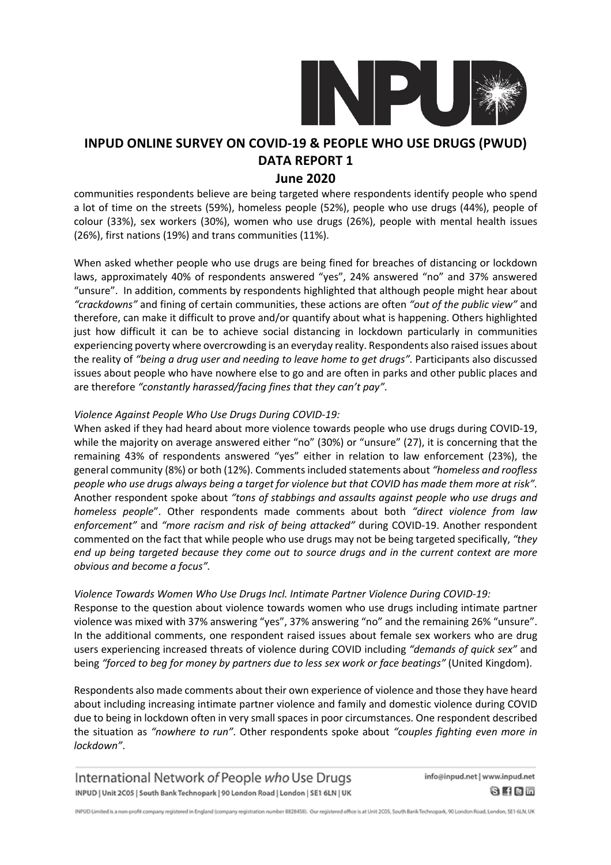

### **June 2020**

communities respondents believe are being targeted where respondents identify people who spend a lot of time on the streets (59%), homeless people (52%), people who use drugs (44%), people of colour (33%), sex workers (30%), women who use drugs (26%), people with mental health issues (26%), first nations (19%) and trans communities (11%).

When asked whether people who use drugs are being fined for breaches of distancing or lockdown laws, approximately 40% of respondents answered "yes", 24% answered "no" and 37% answered "unsure". In addition, comments by respondents highlighted that although people might hear about *"crackdowns"* and fining of certain communities, these actions are often *"out of the public view"* and therefore, can make it difficult to prove and/or quantify about what is happening. Others highlighted just how difficult it can be to achieve social distancing in lockdown particularly in communities experiencing poverty where overcrowding is an everyday reality. Respondents also raised issues about the reality of *"being a drug user and needing to leave home to get drugs".* Participants also discussed issues about people who have nowhere else to go and are often in parks and other public places and are therefore *"constantly harassed/facing fines that they can't pay"*.

### *Violence Against People Who Use Drugs During COVID-19:*

When asked if they had heard about more violence towards people who use drugs during COVID-19, while the majority on average answered either "no" (30%) or "unsure" (27), it is concerning that the remaining 43% of respondents answered "yes" either in relation to law enforcement (23%), the general community (8%) or both (12%). Comments included statements about *"homeless and roofless* people who use drugs always being a target for violence but that COVID has made them more at risk". Another respondent spoke about *"tons of stabbings and assaults against people who use drugs and homeless people*". Other respondents made comments about both *"direct violence from law enforcement"* and *"more racism and risk of being attacked"* during COVID-19. Another respondent commented on the fact that while people who use drugs may not be being targeted specifically, *"they end up being targeted because they come out to source drugs and in the current context are more obvious and become a focus".*

### *Violence Towards Women Who Use Drugs Incl. Intimate Partner Violence During COVID-19:*

Response to the question about violence towards women who use drugs including intimate partner violence was mixed with 37% answering "yes", 37% answering "no" and the remaining 26% "unsure". In the additional comments, one respondent raised issues about female sex workers who are drug users experiencing increased threats of violence during COVID including *"demands of quick sex"* and being *"forced to beg for money by partners due to less sex work or face beatings"* (United Kingdom).

Respondents also made comments about their own experience of violence and those they have heard about including increasing intimate partner violence and family and domestic violence during COVID due to being in lockdown often in very small spaces in poor circumstances. One respondent described the situation as *"nowhere to run"*. Other respondents spoke about *"couples fighting even more in lockdown"*.

International Network of People who Use Drugs INPUD | Unit 2C05 | South Bank Technopark | 90 London Road | London | SE1 6LN | UK info@inpud.net | www.inpud.net  $8$  H C  $-$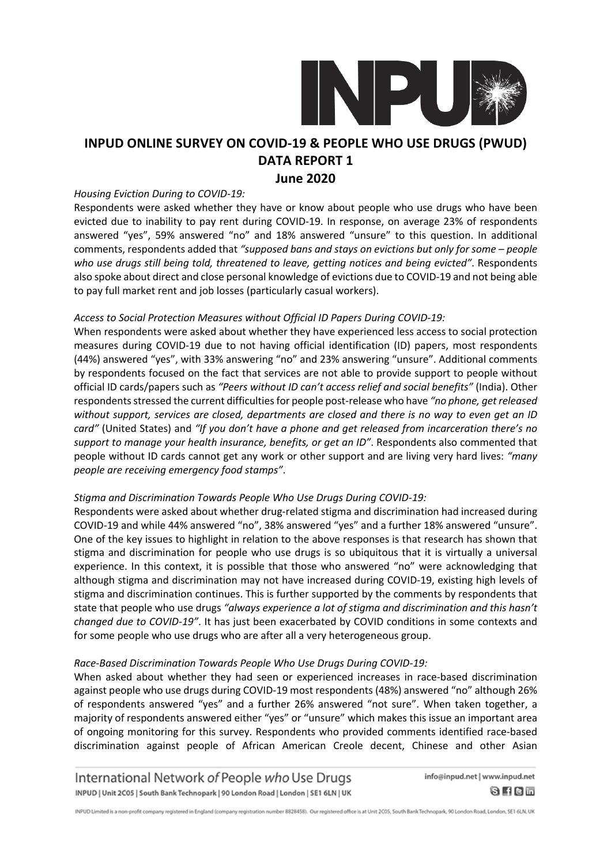

### **June 2020**

### *Housing Eviction During to COVID-19:*

Respondents were asked whether they have or know about people who use drugs who have been evicted due to inability to pay rent during COVID-19. In response, on average 23% of respondents answered "yes", 59% answered "no" and 18% answered "unsure" to this question. In additional comments, respondents added that *"supposed bans and stays on evictions but only for some – people who use drugs still being told, threatened to leave, getting notices and being evicted"*. Respondents also spoke about direct and close personal knowledge of evictions due to COVID-19 and not being able to pay full market rent and job losses (particularly casual workers).

### *Access to Social Protection Measures without Official ID Papers During COVID-19:*

When respondents were asked about whether they have experienced less access to social protection measures during COVID-19 due to not having official identification (ID) papers, most respondents (44%) answered "yes", with 33% answering "no" and 23% answering "unsure". Additional comments by respondents focused on the fact that services are not able to provide support to people without official ID cards/papers such as *"Peers without ID can't access relief and social benefits"* (India). Other respondentsstressed the current difficultiesfor people post-release who have *"no phone, get released without support, services are closed, departments are closed and there is no way to even get an ID card"* (United States) and *"If you don't have a phone and get released from incarceration there's no support to manage your health insurance, benefits, or get an ID"*. Respondents also commented that people without ID cards cannot get any work or other support and are living very hard lives: *"many people are receiving emergency food stamps"*.

### *Stigma and Discrimination Towards People Who Use Drugs During COVID-19:*

Respondents were asked about whether drug-related stigma and discrimination had increased during COVID-19 and while 44% answered "no", 38% answered "yes" and a further 18% answered "unsure". One of the key issues to highlight in relation to the above responses is that research has shown that stigma and discrimination for people who use drugs is so ubiquitous that it is virtually a universal experience. In this context, it is possible that those who answered "no" were acknowledging that although stigma and discrimination may not have increased during COVID-19, existing high levels of stigma and discrimination continues. This is further supported by the comments by respondents that state that people who use drugs *"always experience a lot of stigma and discrimination and this hasn't changed due to COVID-19"*. It has just been exacerbated by COVID conditions in some contexts and for some people who use drugs who are after all a very heterogeneous group.

### *Race-Based Discrimination Towards People Who Use Drugs During COVID-19:*

When asked about whether they had seen or experienced increases in race-based discrimination against people who use drugs during COVID-19 most respondents (48%) answered "no" although 26% of respondents answered "yes" and a further 26% answered "not sure". When taken together, a majority of respondents answered either "yes" or "unsure" which makes this issue an important area of ongoing monitoring for this survey. Respondents who provided comments identified race-based discrimination against people of African American Creole decent, Chinese and other Asian

International Network of People who Use Drugs INPUD | Unit 2C05 | South Bank Technopark | 90 London Road | London | SE1 6LN | UK

info@inpud.net | www.inpud.net  $0$   $10$   $\overline{0}$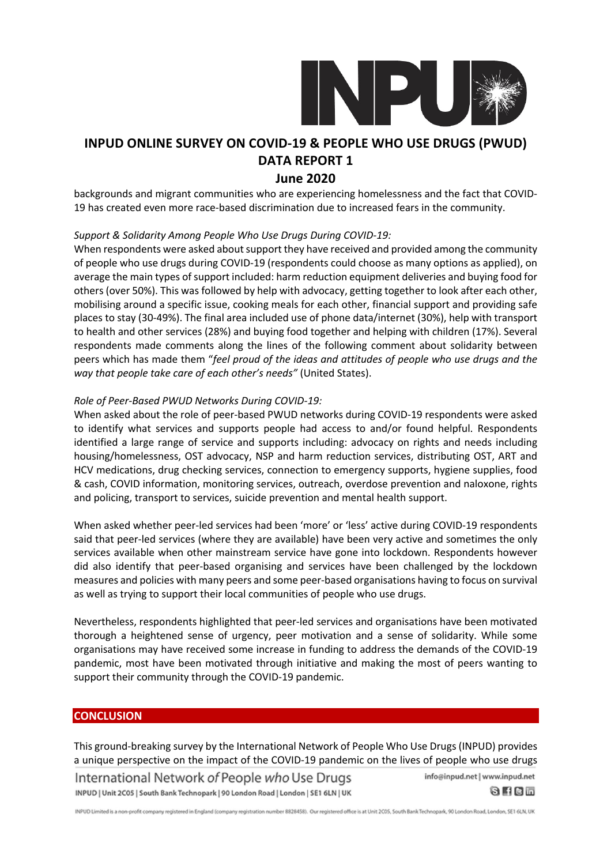

### **June 2020**

backgrounds and migrant communities who are experiencing homelessness and the fact that COVID-19 has created even more race-based discrimination due to increased fears in the community.

### *Support & Solidarity Among People Who Use Drugs During COVID-19:*

When respondents were asked about support they have received and provided among the community of people who use drugs during COVID-19 (respondents could choose as many options as applied), on average the main types of support included: harm reduction equipment deliveries and buying food for others (over 50%). This was followed by help with advocacy, getting together to look after each other, mobilising around a specific issue, cooking meals for each other, financial support and providing safe places to stay (30-49%). The final area included use of phone data/internet (30%), help with transport to health and other services (28%) and buying food together and helping with children (17%). Several respondents made comments along the lines of the following comment about solidarity between peers which has made them "*feel proud of the ideas and attitudes of people who use drugs and the way that people take care of each other's needs"* (United States).

### *Role of Peer-Based PWUD Networks During COVID-19:*

When asked about the role of peer-based PWUD networks during COVID-19 respondents were asked to identify what services and supports people had access to and/or found helpful. Respondents identified a large range of service and supports including: advocacy on rights and needs including housing/homelessness, OST advocacy, NSP and harm reduction services, distributing OST, ART and HCV medications, drug checking services, connection to emergency supports, hygiene supplies, food & cash, COVID information, monitoring services, outreach, overdose prevention and naloxone, rights and policing, transport to services, suicide prevention and mental health support.

When asked whether peer-led services had been 'more' or 'less' active during COVID-19 respondents said that peer-led services (where they are available) have been very active and sometimes the only services available when other mainstream service have gone into lockdown. Respondents however did also identify that peer-based organising and services have been challenged by the lockdown measures and policies with many peers and some peer-based organisations having to focus on survival as well as trying to support their local communities of people who use drugs.

Nevertheless, respondents highlighted that peer-led services and organisations have been motivated thorough a heightened sense of urgency, peer motivation and a sense of solidarity. While some organisations may have received some increase in funding to address the demands of the COVID-19 pandemic, most have been motivated through initiative and making the most of peers wanting to support their community through the COVID-19 pandemic.

### **CONCLUSION**

This ground-breaking survey by the International Network of People Who Use Drugs (INPUD) provides a unique perspective on the impact of the COVID-19 pandemic on the lives of people who use drugs

International Network of People who Use Drugs INPUD | Unit 2C05 | South Bank Technopark | 90 London Road | London | SE1 6LN | UK info@inpud.net | www.inpud.net

 $0$   $10$   $\overline{0}$